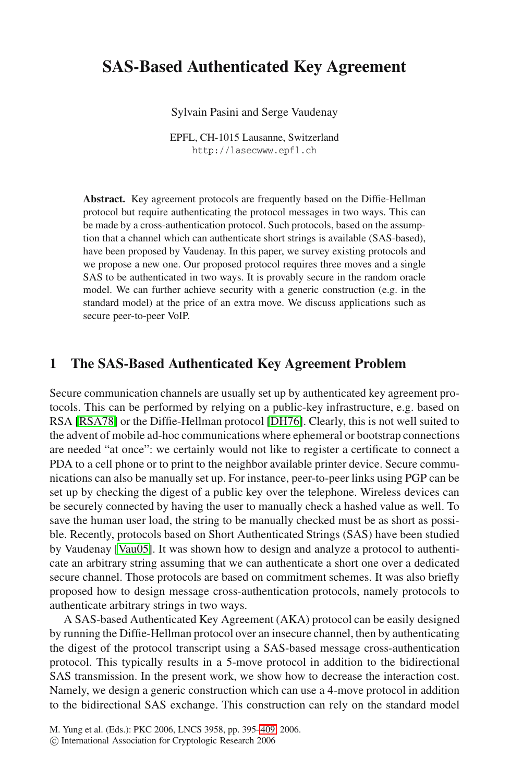# **SAS-Based Authenticated Key Agreement**

Sylvain Pasini and Serge Vaudenay

EPFL, CH-1015 Lausanne, Switzerland http://lasecwww.epfl.ch

**Abstract.** Key agreement protocols are frequently based on the Diffie-Hellman protocol but require authenticating the protocol messages in two ways. This can be made by a cross-authentication protocol. Such protocols, based on the assumption that a channel which can authenticate short strings is available (SAS-based), have been proposed by Vaudenay. In this paper, we survey existing protocols and we propose a new one. Our proposed protocol requires three moves and a single SAS to be authenticated in two ways. It is provably secure in the random oracle model. We can further achieve security with a generic construction (e.g. in the standard model) at the price of an extra move. We discuss applications such as secure peer-to-peer VoIP.

### **1 The SAS-Based Authenticated Key Agreement Problem**

Secure communication channels are usually set up by authenticated key agreement protocols. This can be performed by relying on a public-key infrastructure, e.g. based on RSA [\[RSA78\]](#page-14-0) or the Diffie-Hellman protocol [\[DH76\]](#page-13-0). Clearly, this is not well suited to the advent of mobile ad-hoc communications where ephemeral or bootstrap connections are needed "at once": we certainly would not like to register a certificate to connect a PDA to a cell phone or to print to the neighbor available printer device. Secure communications can also be manually set up. For instance, peer-to-peer links using PGP can be set up by checking the digest of a public key over the telephone. Wireless devices can be securely connected by having the user to manually check a hashed value as well. To save the human user load, the string to be manually checked must be as short as possible. Recently, protocols based on Short Authenticated Strings (SAS) have been studied by Vaudenay [\[Vau05\]](#page-14-1). It was shown how to design and analyze a protocol to authenticate an arbitrary string assuming that we can authenticate a short one over a dedicated secure channel. Those protocols are based on commitment schemes. It was also briefly proposed how to design message cross-authentication protocols, namely protocols to authenticate arbitrary strings in two ways.

A SAS-based Authenticated Key Agreement (AKA) protocol can be easily designed by running the Diffie-Hellman protocol over an insecure channel, then by authenticating the digest of the protocol transcript using a SAS-based message cross-authentication protocol. This typically results in a 5-move protocol in addition to the bidirectional SAS transmission. In the present work, we show how to decrease the interaction cost. Namely, we design a generic construction which can use a 4-move protocol in addition to the bidirectional SAS exchange. This construction can rely on the standard model

 $\odot$  International Association for Cryptologic Research 2006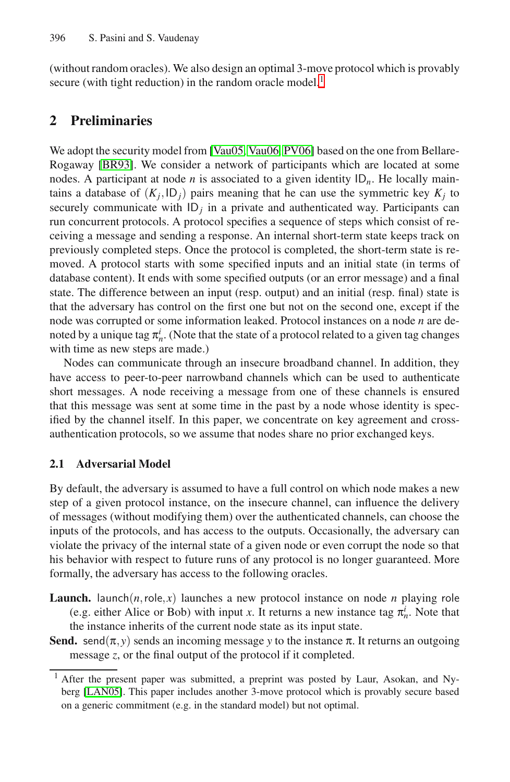(without random oracles). We also design an optimal 3-move protocol which is provably secure (with tight reduction) in the random oracle model. $<sup>1</sup>$  $<sup>1</sup>$  $<sup>1</sup>$ </sup>

## **2 Preliminaries**

We adopt the security model from [\[Vau05,](#page-14-1) [Vau06,](#page-14-2) [PV06\]](#page-14-3) based on the one from Bellare-Rogaway [\[BR93\]](#page-13-2). We consider a network of participants which are located at some nodes. A participant at node *n* is associated to a given identity  $ID_n$ . He locally maintains a database of  $(K_i, \mathsf{ID}_i)$  pairs meaning that he can use the symmetric key  $K_i$  to securely communicate with  $ID_j$  in a private and authenticated way. Participants can run concurrent protocols. A protocol specifies a sequence of steps which consist of receiving a message and sending a response. An internal short-term state keeps track on previously completed steps. Once the protocol is completed, the short-term state is removed. A protocol starts with some specified inputs and an initial state (in terms of database content). It ends with some specified outputs (or an error message) and a final state. The difference between an input (resp. output) and an initial (resp. final) state is that the adversary has control on the first one but not on the second one, except if the node was corrupted or some information leaked. Protocol instances on a node *n* are denoted by a unique tag  $\pi_n^i$ . (Note that the state of a protocol related to a given tag changes with time as new steps are made.)

Nodes can communicate through an insecure broadband channel. In addition, they have access to peer-to-peer narrowband channels which can be used to authenticate short messages. A node receiving a message from one of these channels is ensured that this message was sent at some time in the past by a node whose identity is specified by the channel itself. In this paper, we concentrate on key agreement and crossauthentication protocols, so we assume that nodes share no prior exchanged keys.

### **2.1 Adversarial Model**

By default, the adversary is assumed to have a full control on which node makes a new step of a given protocol instance, on the insecure channel, can influence the delivery of messages (without modifying them) over the authenticated channels, can choose the inputs of the protocols, and has access to the outputs. Occasionally, the adversary can violate the privacy of the internal state of a given node or even corrupt the node so that his behavior with respect to future runs of any protocol is no longer guaranteed. More formally, the adversary has access to the following oracles.

- **Launch.** launch $(n,$ role, $x)$  launches a new protocol instance on node *n* playing role (e.g. either Alice or Bob) with input *x*. It returns a new instance tag  $\pi_h^i$ . Note that the instance inherits of the current node state as its input state.
- **Send.** send( $\pi$ , $y$ ) sends an incoming message *y* to the instance  $\pi$ . It returns an outgoing message *z*, or the final output of the protocol if it completed.

<span id="page-1-0"></span><sup>&</sup>lt;sup>1</sup> After the present paper was submitted, a preprint was posted by Laur, Asokan, and Nyberg [\[LAN05\]](#page-14-4). This paper includes another 3-move protocol which is provably secure based on a generic commitment (e.g. in the standard model) but not optimal.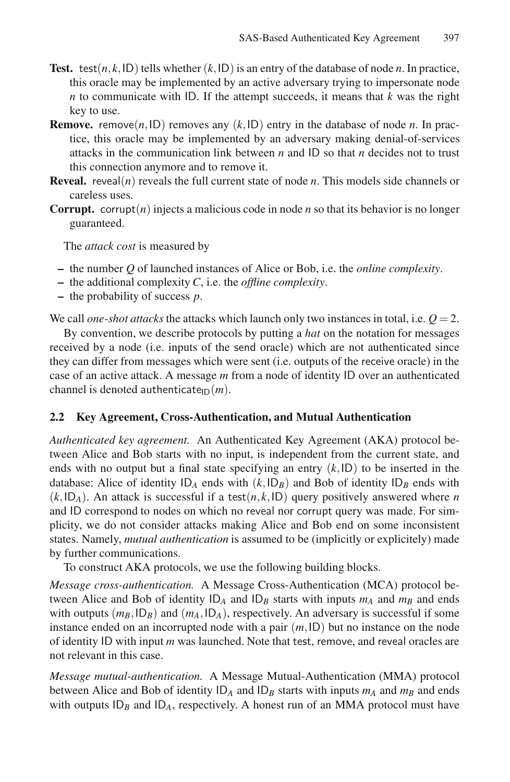- **Test.** test( $n, k, \text{ID}$ ) tells whether ( $k, \text{ID}$ ) is an entry of the database of node  $n$ . In practice, this oracle may be implemented by an active adversary trying to impersonate node *n* to communicate with ID. If the attempt succeeds, it means that *k* was the right key to use.
- **Remove.** remove( $n$ ,ID) removes any  $(k,10)$  entry in the database of node  $n$ . In practice, this oracle may be implemented by an adversary making denial-of-services attacks in the communication link between *n* and ID so that *n* decides not to trust this connection anymore and to remove it.
- **Reveal.** reveal(*n*) reveals the full current state of node *n*. This models side channels or careless uses.
- **Corrupt.** corrupt( $n$ ) injects a malicious code in node  $n$  so that its behavior is no longer guaranteed.

The *attack cost* is measured by

- **–** the number *Q* of launched instances of Alice or Bob, i.e. the *online complexity*.
- **–** the additional complexity *C*, i.e. the *offline complexity*.
- **–** the probability of success *p*.

We call *one-shot attacks* the attacks which launch only two instances in total, i.e.  $Q = 2$ .

By convention, we describe protocols by putting a *hat* on the notation for messages received by a node (i.e. inputs of the send oracle) which are not authenticated since they can differ from messages which were sent (i.e. outputs of the receive oracle) in the case of an active attack. A message *m* from a node of identity ID over an authenticated channel is denoted authenticate<sub>ID</sub> $(m)$ .

#### <span id="page-2-0"></span>**2.2 Key Agreement, Cross-Authentication, and Mutual Authentication**

*Authenticated key agreement.* An Authenticated Key Agreement (AKA) protocol between Alice and Bob starts with no input, is independent from the current state, and ends with no output but a final state specifying an entry  $(k, \mathsf{ID})$  to be inserted in the database: Alice of identity  $ID_A$  ends with  $(k, ID_B)$  and Bob of identity  $ID_B$  ends with  $(k, \mathsf{ID}_A)$ . An attack is successful if a test $(n, k, \mathsf{ID})$  query positively answered where *n* and ID correspond to nodes on which no reveal nor corrupt query was made. For simplicity, we do not consider attacks making Alice and Bob end on some inconsistent states. Namely, *mutual authentication* is assumed to be (implicitly or explicitely) made by further communications.

To construct AKA protocols, we use the following building blocks.

*Message cross-authentication.* A Message Cross-Authentication (MCA) protocol between Alice and Bob of identity  $ID_A$  and  $ID_B$  starts with inputs  $m_A$  and  $m_B$  and ends with outputs  $(m_B, \mathsf{ID}_B)$  and  $(m_A, \mathsf{ID}_A)$ , respectively. An adversary is successful if some instance ended on an incorrupted node with a pair  $(m, \mathsf{ID})$  but no instance on the node of identity ID with input *m* was launched. Note that test, remove, and reveal oracles are not relevant in this case.

*Message mutual-authentication.* A Message Mutual-Authentication (MMA) protocol between Alice and Bob of identity  $ID_A$  and  $ID_B$  starts with inputs  $m_A$  and  $m_B$  and ends with outputs  $ID_B$  and  $ID_A$ , respectively. A honest run of an MMA protocol must have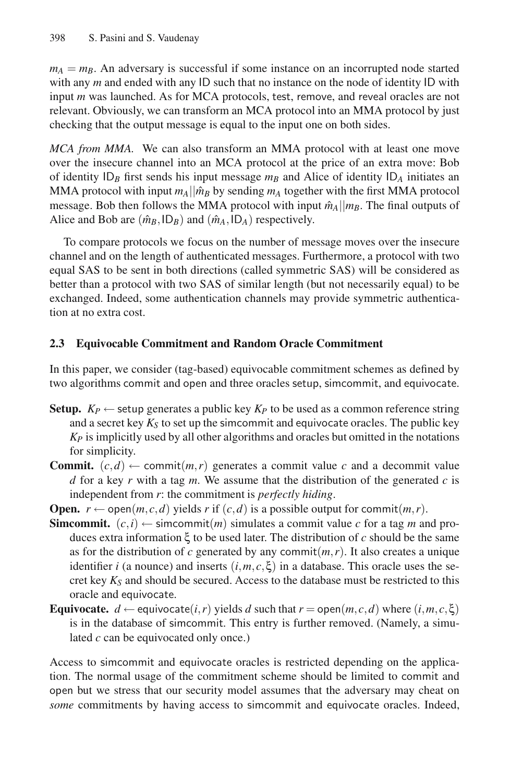$m_A = m_B$ . An adversary is successful if some instance on an incorrupted node started with any *m* and ended with any ID such that no instance on the node of identity ID with input *m* was launched. As for MCA protocols, test, remove, and reveal oracles are not relevant. Obviously, we can transform an MCA protocol into an MMA protocol by just checking that the output message is equal to the input one on both sides.

*MCA from MMA.* We can also transform an MMA protocol with at least one move over the insecure channel into an MCA protocol at the price of an extra move: Bob of identity  $ID_B$  first sends his input message  $m_B$  and Alice of identity  $ID_A$  initiates an MMA protocol with input  $m_A||\hat{m}_B$  by sending  $m_A$  together with the first MMA protocol message. Bob then follows the MMA protocol with input  $\hat{m}_A||_{mR}$ . The final outputs of Alice and Bob are  $(\hat{m}_B, \mathsf{ID}_B)$  and  $(\hat{m}_A, \mathsf{ID}_A)$  respectively.

To compare protocols we focus on the number of message moves over the insecure channel and on the length of authenticated messages. Furthermore, a protocol with two equal SAS to be sent in both directions (called symmetric SAS) will be considered as better than a protocol with two SAS of similar length (but not necessarily equal) to be exchanged. Indeed, some authentication channels may provide symmetric authentication at no extra cost.

### **2.3 Equivocable Commitment and Random Oracle Commitment**

In this paper, we consider (tag-based) equivocable commitment schemes as defined by two algorithms commit and open and three oracles setup, simcommit, and equivocate.

- **Setup.**  $K_P \leftarrow$  setup generates a public key  $K_P$  to be used as a common reference string and a secret key  $K_S$  to set up the simcommit and equivocate oracles. The public key *KP* is implicitly used by all other algorithms and oracles but omitted in the notations for simplicity.
- **Commit.**  $(c,d) \leftarrow$  commit $(m,r)$  generates a commit value *c* and a decommit value *d* for a key *r* with a tag *m*. We assume that the distribution of the generated *c* is independent from *r*: the commitment is *perfectly hiding*.
- **Open.**  $r \leftarrow$  open $(m, c, d)$  yields *r* if  $(c, d)$  is a possible output for commit $(m, r)$ .
- **Simcommit.**  $(c, i) \leftarrow$  simcommit $(m)$  simulates a commit value *c* for a tag *m* and produces extra information ξ to be used later. The distribution of *c* should be the same as for the distribution of *c* generated by any commit $(m, r)$ . It also creates a unique identifier *i* (a nounce) and inserts  $(i, m, c, \xi)$  in a database. This oracle uses the secret key *KS* and should be secured. Access to the database must be restricted to this oracle and equivocate.
- **Equivocate.**  $d \leftarrow$  equivocate(*i*,*r*) yields *d* such that  $r =$  open( $m, c, d$ ) where (*i*, $m, c, \xi$ ) is in the database of simcommit. This entry is further removed. (Namely, a simulated *c* can be equivocated only once.)

Access to simcommit and equivocate oracles is restricted depending on the application. The normal usage of the commitment scheme should be limited to commit and open but we stress that our security model assumes that the adversary may cheat on *some* commitments by having access to simcommit and equivocate oracles. Indeed,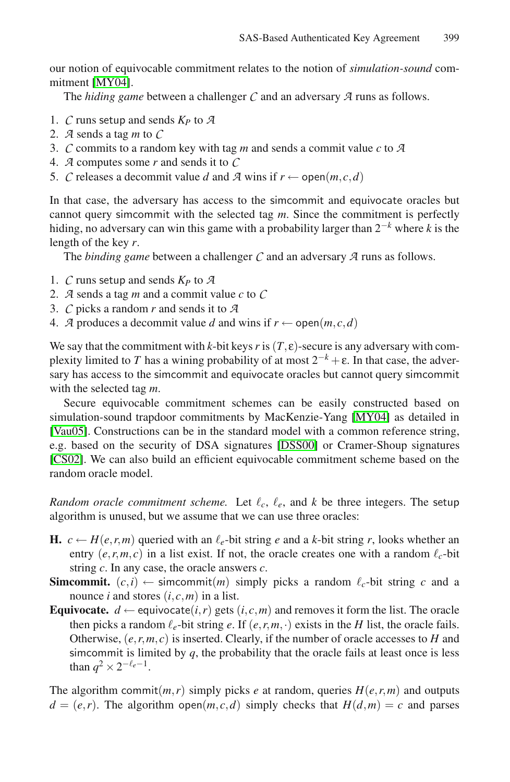our notion of equivocable commitment relates to the notion of *simulation-sound* commitment [\[MY04\]](#page-14-5).

The *hiding game* between a challenger *C* and an adversary *A* runs as follows.

- 1. *C* runs setup and sends  $K_P$  to  $\mathcal A$
- 2. *A* sends a tag *m* to  $C$
- 3. *C* commits to a random key with tag *m* and sends a commit value *c* to *A*
- 4. *A* computes some *r* and sends it to *C*
- 5. *C* releases a decommit value *d* and *A* wins if  $r \leftarrow \text{open}(m, c, d)$

In that case, the adversary has access to the simcommit and equivocate oracles but cannot query simcommit with the selected tag *m*. Since the commitment is perfectly hiding, no adversary can win this game with a probability larger than 2−*<sup>k</sup>* where *k* is the length of the key *r*.

The *binding game* between a challenger *C* and an adversary *A* runs as follows.

- 1. *C* runs setup and sends  $K_P$  to  $\mathcal A$
- 2. *A* sends a tag *m* and a commit value *c* to *C*
- 3. *C* picks a random *r* and sends it to *A*
- 4. *A* produces a decommit value *d* and wins if  $r \leftarrow$  open $(m, c, d)$

We say that the commitment with *k*-bit keys *r* is  $(T, \varepsilon)$ -secure is any adversary with complexity limited to *T* has a wining probability of at most  $2^{-k} + \varepsilon$ . In that case, the adversary has access to the simcommit and equivocate oracles but cannot query simcommit with the selected tag *m*.

Secure equivocable commitment schemes can be easily constructed based on simulation-sound trapdoor commitments by MacKenzie-Yang [\[MY04\]](#page-14-5) as detailed in [\[Vau05\]](#page-14-1). Constructions can be in the standard model with a common reference string, e.g. based on the security of DSA signatures [\[DSS00\]](#page-13-3) or Cramer-Shoup signatures [\[CS02\]](#page-13-4). We can also build an efficient equivocable commitment scheme based on the random oracle model.

*Random oracle commitment scheme.* Let  $\ell_c$ ,  $\ell_e$ , and  $k$  be three integers. The setup algorithm is unused, but we assume that we can use three oracles:

- **H.**  $c \leftarrow H(e,r,m)$  queried with an  $\ell_e$ -bit string *e* and a *k*-bit string *r*, looks whether an entry  $(e, r, m, c)$  in a list exist. If not, the oracle creates one with a random  $\ell_c$ -bit string *c*. In any case, the oracle answers *c*.
- **Simcommit.**  $(c, i) \leftarrow$  simcommit $(m)$  simply picks a random  $\ell_c$ -bit string *c* and a nounce *i* and stores  $(i, c, m)$  in a list.
- **Equivocate.**  $d \leftarrow$  equivocate(*i*,*r*) gets (*i*,*c*,*m*) and removes it form the list. The oracle then picks a random  $\ell_e$ -bit string *e*. If  $(e, r, m, \cdot)$  exists in the *H* list, the oracle fails. Otherwise, (*e*,*r*,*m*,*c*) is inserted. Clearly, if the number of oracle accesses to *H* and simcommit is limited by  $q$ , the probability that the oracle fails at least once is less than  $q^2 \times 2^{-\ell_e - 1}$ .

The algorithm commit $(m, r)$  simply picks *e* at random, queries  $H(e, r, m)$  and outputs  $d = (e, r)$ . The algorithm open $(m, c, d)$  simply checks that  $H(d, m) = c$  and parses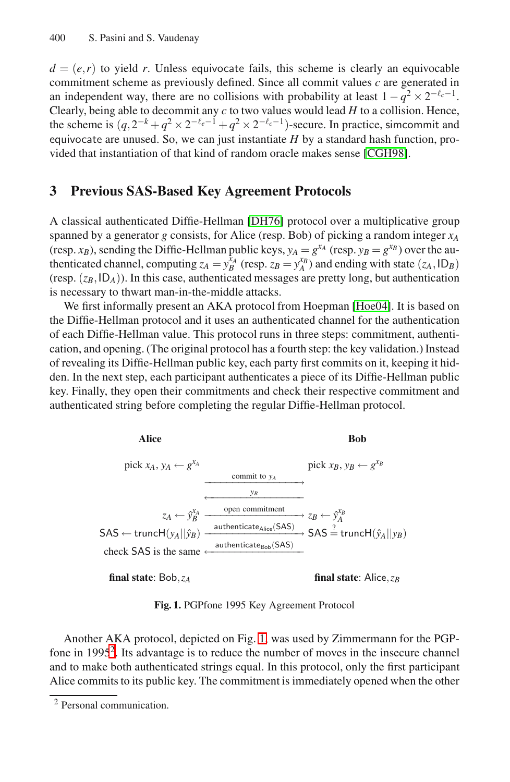$d = (e, r)$  to yield *r*. Unless equivocate fails, this scheme is clearly an equivocable commitment scheme as previously defined. Since all commit values *c* are generated in an independent way, there are no collisions with probability at least  $1 - q^2 \times 2^{-\ell_c - 1}$ . Clearly, being able to decommit any *c* to two values would lead *H* to a collision. Hence, the scheme is  $(q, 2^{-k} + q^2 \times 2^{-\ell_e - 1} + q^2 \times 2^{-\ell_c - 1})$ -secure. In practice, simcommit and equivocate are unused. So, we can just instantiate *H* by a standard hash function, provided that instantiation of that kind of random oracle makes sense [\[CGH98\]](#page-13-5).

## **3 Previous SAS-Based Key Agreement Protocols**

A classical authenticated Diffie-Hellman [\[DH76\]](#page-13-0) protocol over a multiplicative group spanned by a generator *g* consists, for Alice (resp. Bob) of picking a random integer *xA* (resp. *x<sub>B</sub>*), sending the Diffie-Hellman public keys,  $y_A = g^{x_A}$  (resp.  $y_B = g^{x_B}$ ) over the authenticated channel, computing  $z_A = y_B^{x_A}$  (resp.  $z_B = y_A^{x_B}$ ) and ending with state  $(z_A, \text{ID}_B)$ (resp.  $(z_B, \mathsf{ID}_A)$ ). In this case, authenticated messages are pretty long, but authentication is necessary to thwart man-in-the-middle attacks.

We first informally present an AKA protocol from Hoepman [\[Hoe04\]](#page-14-6). It is based on the Diffie-Hellman protocol and it uses an authenticated channel for the authentication of each Diffie-Hellman value. This protocol runs in three steps: commitment, authentication, and opening. (The original protocol has a fourth step: the key validation.) Instead of revealing its Diffie-Hellman public key, each party first commits on it, keeping it hidden. In the next step, each participant authenticates a piece of its Diffie-Hellman public key. Finally, they open their commitments and check their respective commitment and authenticated string before completing the regular Diffie-Hellman protocol.



<span id="page-5-0"></span>

**final state**: Bob,  $z_A$  **final state**: Alice,  $z_B$ 

**Fig. 1.** PGPfone 1995 Key Agreement Protocol

Another AKA protocol, depicted on Fig. [1,](#page-5-0) was used by Zimmermann for the PGPfone in  $1995<sup>2</sup>$  $1995<sup>2</sup>$  $1995<sup>2</sup>$ . Its advantage is to reduce the number of moves in the insecure channel and to make both authenticated strings equal. In this protocol, only the first participant Alice commits to its public key. The commitment is immediately opened when the other

<span id="page-5-1"></span><sup>2</sup> Personal communication.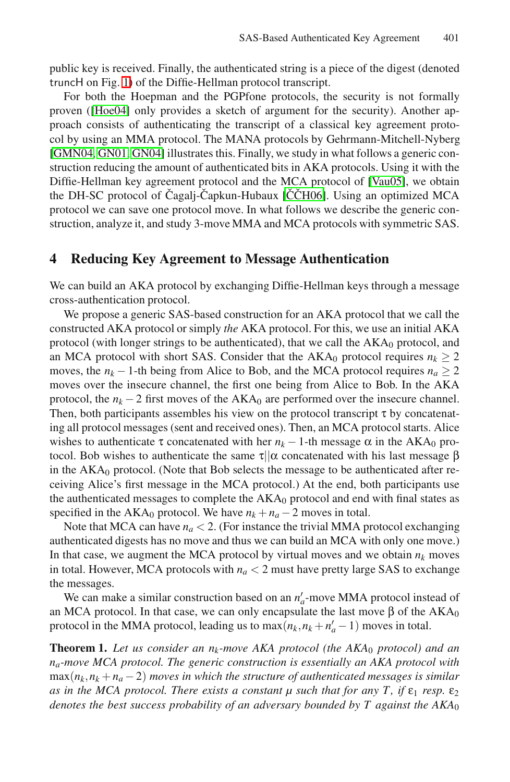public key is received. Finally, the authenticated string is a piece of the digest (denoted truncH on Fig. [1\)](#page-5-0) of the Diffie-Hellman protocol transcript.

For both the Hoepman and the PGPfone protocols, the security is not formally proven ([\[Hoe04\]](#page-14-6) only provides a sketch of argument for the security). Another approach consists of authenticating the transcript of a classical key agreement protocol by using an MMA protocol. The MANA protocols by Gehrmann-Mitchell-Nyberg [\[GMN04,](#page-14-7) [GN01,](#page-14-8) [GN04\]](#page-14-9) illustrates this. Finally, we study in what follows a generic construction reducing the amount of authenticated bits in AKA protocols. Using it with the Diffie-Hellman key agreement protocol and the MCA protocol of [\[Vau05\]](#page-14-1), we obtain the DH-SC protocol of Čagalj-Čapkun-Hubaux [ČČH06]. Using an optimized MCA protocol we can save one protocol move. In what follows we describe the generic construction, analyze it, and study 3-move MMA and MCA protocols with symmetric SAS.

#### **4 Reducing Key Agreement to Message Authentication**

We can build an AKA protocol by exchanging Diffie-Hellman keys through a message cross-authentication protocol.

We propose a generic SAS-based construction for an AKA protocol that we call the constructed AKA protocol or simply *the* AKA protocol. For this, we use an initial AKA protocol (with longer strings to be authenticated), that we call the  $AKA<sub>0</sub>$  protocol, and an MCA protocol with short SAS. Consider that the  $AKA_0$  protocol requires  $n_k \geq 2$ moves, the  $n_k - 1$ -th being from Alice to Bob, and the MCA protocol requires  $n_a \geq 2$ moves over the insecure channel, the first one being from Alice to Bob. In the AKA protocol, the  $n_k - 2$  first moves of the AKA<sub>0</sub> are performed over the insecure channel. Then, both participants assembles his view on the protocol transcript  $\tau$  by concatenating all protocol messages (sent and received ones). Then, an MCA protocol starts. Alice wishes to authenticate  $\tau$  concatenated with her  $n_k - 1$ -th message  $\alpha$  in the AKA<sub>0</sub> protocol. Bob wishes to authenticate the same  $\tau$ ||α concatenated with his last message β in the  $AKA<sub>0</sub>$  protocol. (Note that Bob selects the message to be authenticated after receiving Alice's first message in the MCA protocol.) At the end, both participants use the authenticated messages to complete the  $AKA<sub>0</sub>$  protocol and end with final states as specified in the AKA<sub>0</sub> protocol. We have  $n_k + n_a - 2$  moves in total.

Note that MCA can have  $n_a < 2$ . (For instance the trivial MMA protocol exchanging authenticated digests has no move and thus we can build an MCA with only one move.) In that case, we augment the MCA protocol by virtual moves and we obtain  $n_k$  moves in total. However, MCA protocols with  $n_a < 2$  must have pretty large SAS to exchange the messages.

We can make a similar construction based on an  $n'_a$ -move MMA protocol instead of an MCA protocol. In that case, we can only encapsulate the last move  $\beta$  of the AKA<sub>0</sub> protocol in the MMA protocol, leading us to  $\max(n_k, n_k + n'_a - 1)$  moves in total.

**Theorem 1.** Let us consider an  $n_k$ -move AKA protocol (the AKA<sub>0</sub> protocol) and an *na-move MCA protocol. The generic construction is essentially an AKA protocol with*  $\max(n_k, n_k + n_a - 2)$  *moves in which the structure of authenticated messages is similar as in the MCA protocol. There exists a constant*  $\mu$  *such that for any T, if*  $\epsilon_1$  *resp.*  $\epsilon_2$ *denotes the best success probability of an adversary bounded by T against the AKA*<sup>0</sup>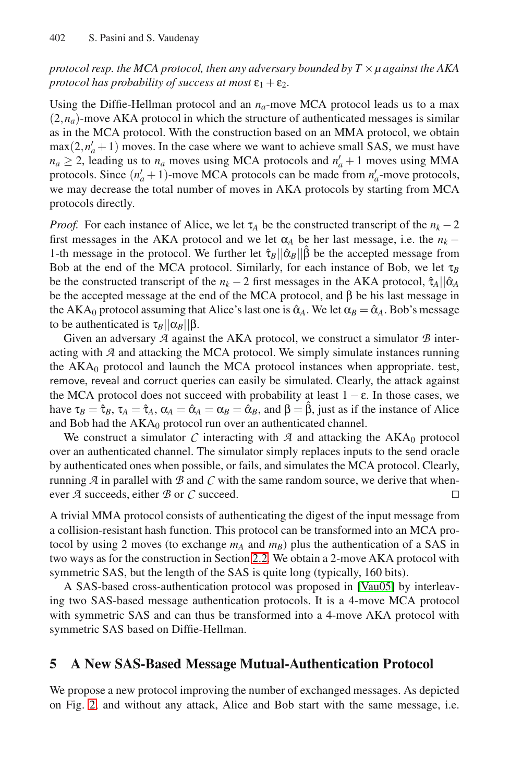*protocol resp. the MCA protocol, then any adversary bounded by T* ×*µ against the AKA protocol has probability of success at most*  $\varepsilon_1 + \varepsilon_2$ *.* 

Using the Diffie-Hellman protocol and an  $n_a$ -move MCA protocol leads us to a max  $(2, n_a)$ -move AKA protocol in which the structure of authenticated messages is similar as in the MCA protocol. With the construction based on an MMA protocol, we obtain  $max(2, n<sub>a</sub> + 1)$  moves. In the case where we want to achieve small SAS, we must have  $n_a \ge 2$ , leading us to  $n_a$  moves using MCA protocols and  $n'_a + 1$  moves using MMA protocols. Since  $(n'_a + 1)$ -move MCA protocols can be made from  $n'_a$ -move protocols, we may decrease the total number of moves in AKA protocols by starting from MCA protocols directly.

*Proof.* For each instance of Alice, we let  $\tau_A$  be the constructed transcript of the  $n_k - 2$ first messages in the AKA protocol and we let  $\alpha_A$  be her last message, i.e. the  $n_k$  − 1-th message in the protocol. We further let  $\hat{\tau}_B || \hat{\alpha}_B || \hat{\beta}$  be the accepted message from Bob at the end of the MCA protocol. Similarly, for each instance of Bob, we let τ*<sup>B</sup>* be the constructed transcript of the  $n_k - 2$  first messages in the AKA protocol,  $\hat{\tau}_A || \hat{\alpha}_A$ be the accepted message at the end of the MCA protocol, and  $\beta$  be his last message in the AKA<sub>0</sub> protocol assuming that Alice's last one is  $\hat{\alpha}_A$ . We let  $\alpha_B = \hat{\alpha}_A$ . Bob's message to be authenticated is  $\tau_B ||\alpha_B|| \beta$ .

Given an adversary *A* against the AKA protocol, we construct a simulator *B* interacting with *A* and attacking the MCA protocol. We simply simulate instances running the  $AKA<sub>0</sub>$  protocol and launch the MCA protocol instances when appropriate. test, remove, reveal and corruct queries can easily be simulated. Clearly, the attack against the MCA protocol does not succeed with probability at least  $1 - \varepsilon$ . In those cases, we have  $\tau_B = \hat{\tau}_B$ ,  $\tau_A = \hat{\tau}_A$ ,  $\alpha_A = \hat{\alpha}_A = \alpha_B = \hat{\alpha}_B$ , and  $\beta = \hat{\beta}$ , just as if the instance of Alice and Bob had the  $AKA<sub>0</sub>$  protocol run over an authenticated channel.

We construct a simulator  $C$  interacting with  $A$  and attacking the  $AKA<sub>0</sub>$  protocol over an authenticated channel. The simulator simply replaces inputs to the send oracle by authenticated ones when possible, or fails, and simulates the MCA protocol. Clearly, running  $\mathcal A$  in parallel with  $\mathcal B$  and  $\mathcal C$  with the same random source, we derive that whenever *A* succeeds, either *B* or *C* succeed.

A trivial MMA protocol consists of authenticating the digest of the input message from a collision-resistant hash function. This protocol can be transformed into an MCA protocol by using 2 moves (to exchange  $m_A$  and  $m_B$ ) plus the authentication of a SAS in two ways as for the construction in Section [2.2.](#page-2-0) We obtain a 2-move AKA protocol with symmetric SAS, but the length of the SAS is quite long (typically, 160 bits).

A SAS-based cross-authentication protocol was proposed in [\[Vau05\]](#page-14-1) by interleaving two SAS-based message authentication protocols. It is a 4-move MCA protocol with symmetric SAS and can thus be transformed into a 4-move AKA protocol with symmetric SAS based on Diffie-Hellman.

### **5 A New SAS-Based Message Mutual-Authentication Protocol**

We propose a new protocol improving the number of exchanged messages. As depicted on Fig. [2,](#page-8-0) and without any attack, Alice and Bob start with the same message, i.e.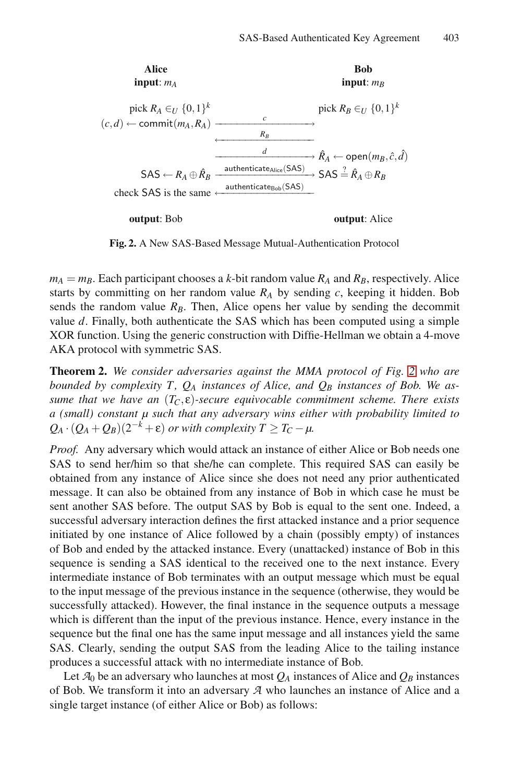

**Fig. 2.** A New SAS-Based Message Mutual-Authentication Protocol

<span id="page-8-0"></span> $m_A = m_B$ . Each participant chooses a *k*-bit random value  $R_A$  and  $R_B$ , respectively. Alice starts by committing on her random value *RA* by sending *c*, keeping it hidden. Bob sends the random value  $R_B$ . Then, Alice opens her value by sending the decommit value *d*. Finally, both authenticate the SAS which has been computed using a simple XOR function. Using the generic construction with Diffie-Hellman we obtain a 4-move AKA protocol with symmetric SAS.

**Theorem 2.** *We consider adversaries against the MMA protocol of Fig. [2](#page-8-0) who are bounded by complexity T,*  $Q_A$  *instances of Alice, and*  $Q_B$  *instances of Bob. We assume that we have an*  $(T_C, \varepsilon)$ -secure equivocable commitment scheme. There exists *a (small) constant µ such that any adversary wins either with probability limited to*  $Q_A \cdot (Q_A + Q_B)(2^{-k} + \varepsilon)$  *or with complexity*  $T \geq T_C - \mu$ .

*Proof.* Any adversary which would attack an instance of either Alice or Bob needs one SAS to send her/him so that she/he can complete. This required SAS can easily be obtained from any instance of Alice since she does not need any prior authenticated message. It can also be obtained from any instance of Bob in which case he must be sent another SAS before. The output SAS by Bob is equal to the sent one. Indeed, a successful adversary interaction defines the first attacked instance and a prior sequence initiated by one instance of Alice followed by a chain (possibly empty) of instances of Bob and ended by the attacked instance. Every (unattacked) instance of Bob in this sequence is sending a SAS identical to the received one to the next instance. Every intermediate instance of Bob terminates with an output message which must be equal to the input message of the previous instance in the sequence (otherwise, they would be successfully attacked). However, the final instance in the sequence outputs a message which is different than the input of the previous instance. Hence, every instance in the sequence but the final one has the same input message and all instances yield the same SAS. Clearly, sending the output SAS from the leading Alice to the tailing instance produces a successful attack with no intermediate instance of Bob.

Let  $A_0$  be an adversary who launches at most  $Q_A$  instances of Alice and  $Q_B$  instances of Bob. We transform it into an adversary *A* who launches an instance of Alice and a single target instance (of either Alice or Bob) as follows: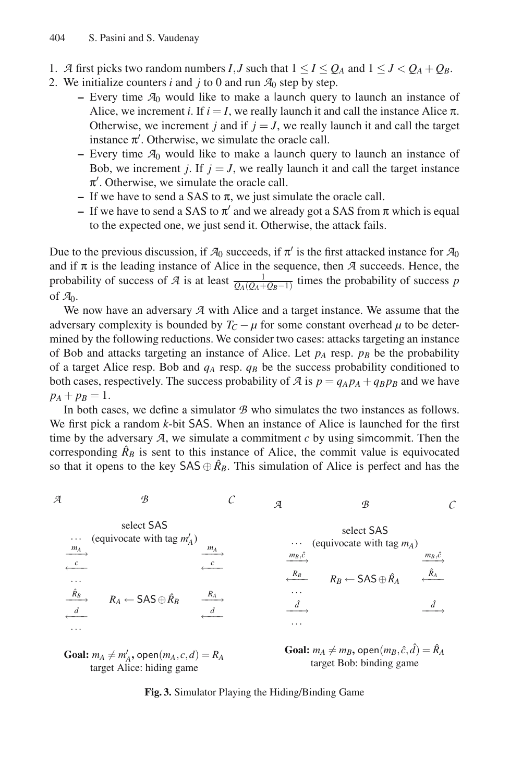- 1. *A* first picks two random numbers *I*, *J* such that  $1 \leq I \leq Q_A$  and  $1 \leq J < Q_A + Q_B$ .
- 2. We initialize counters *i* and *j* to 0 and run  $A_0$  step by step.
	- **–** Every time *A*<sup>0</sup> would like to make a launch query to launch an instance of Alice, we increment *i*. If  $i = I$ , we really launch it and call the instance Alice  $\pi$ . Otherwise, we increment *j* and if  $j = J$ , we really launch it and call the target instance  $\pi'$ . Otherwise, we simulate the oracle call.
	- **–** Every time *A*<sup>0</sup> would like to make a launch query to launch an instance of Bob, we increment *j*. If  $j = J$ , we really launch it and call the target instance  $\pi'$ . Otherwise, we simulate the oracle call.
	- **–** If we have to send a SAS to π, we just simulate the oracle call.
	- **–** If we have to send a SAS to  $\pi'$  and we already got a SAS from  $\pi$  which is equal to the expected one, we just send it. Otherwise, the attack fails.

Due to the previous discussion, if  $A_0$  succeeds, if  $\pi'$  is the first attacked instance for  $A_0$ and if  $\pi$  is the leading instance of Alice in the sequence, then  $\mathcal A$  succeeds. Hence, the probability of success of *A* is at least  $\frac{1}{Q_A(Q_A+Q_B-1)}$  times the probability of success *p* of *A*0.

We now have an adversary *A* with Alice and a target instance. We assume that the adversary complexity is bounded by  $T_C - \mu$  for some constant overhead  $\mu$  to be determined by the following reductions. We consider two cases: attacks targeting an instance of Bob and attacks targeting an instance of Alice. Let  $p_A$  resp.  $p_B$  be the probability of a target Alice resp. Bob and  $q_A$  resp.  $q_B$  be the success probability conditioned to both cases, respectively. The success probability of *A* is  $p = q_A p_A + q_B p_B$  and we have  $p_A + p_B = 1.$ 

In both cases, we define a simulator *B* who simulates the two instances as follows. We first pick a random *k*-bit SAS. When an instance of Alice is launched for the first time by the adversary  $A$ , we simulate a commitment  $c$  by using simcommit. Then the corresponding  $\hat{R}_B$  is sent to this instance of Alice, the commit value is equivocated so that it opens to the key  $SAS \oplus \hat{R}_B$ . This simulation of Alice is perfect and has the

| я                                          | B                                                                                      |       | Я                                             | B                                                                                                                                                                                                                                                                                                                                              |                               |
|--------------------------------------------|----------------------------------------------------------------------------------------|-------|-----------------------------------------------|------------------------------------------------------------------------------------------------------------------------------------------------------------------------------------------------------------------------------------------------------------------------------------------------------------------------------------------------|-------------------------------|
| $\cdots$<br>$m_A$<br>.<br>$\hat{R}_B$<br>. | select SAS<br>(equivocate with tag $m'_A$ )<br>$R_A \leftarrow$ SAS $\oplus \hat{R}_B$ | $m_A$ | $\cdots$<br>$m_B, \hat{c}$<br>$R_B$<br>.<br>. | select SAS<br>(equivocate with tag $m_A$ )<br>$R_B \leftarrow$ SAS $\oplus \hat{R}_A$                                                                                                                                                                                                                                                          | $m_B, \hat{c}$<br>$\hat{R}_A$ |
|                                            |                                                                                        |       |                                               | $C_{\text{real}}$ , $\ldots$ $\qquad$ $\ldots$ $\qquad$ $\ldots$ $\qquad$ $\qquad$ $\qquad$ $\qquad$ $\qquad$ $\qquad$ $\qquad$ $\qquad$ $\qquad$ $\qquad$ $\qquad$ $\qquad$ $\qquad$ $\qquad$ $\qquad$ $\qquad$ $\qquad$ $\qquad$ $\qquad$ $\qquad$ $\qquad$ $\qquad$ $\qquad$ $\qquad$ $\qquad$ $\qquad$ $\qquad$ $\qquad$ $\qquad$ $\qquad$ |                               |

<span id="page-9-0"></span> $\textbf{Goal: } m_A \neq m'_A, \text{ open}(m_A, c, d) = R_A$ target Alice: hiding game

 $\mathbf{Goal: } m_A \neq m_B, \, \mathsf{open}(m_B, \hat{c}, \hat{d}) = \hat{R}_A$ target Bob: binding game

#### **Fig. 3.** Simulator Playing the Hiding/Binding Game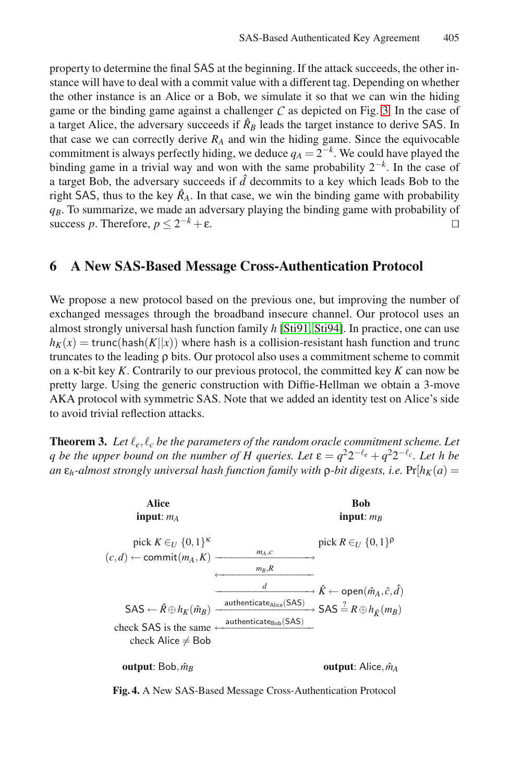property to determine the final SAS at the beginning. If the attack succeeds, the other instance will have to deal with a commit value with a different tag. Depending on whether the other instance is an Alice or a Bob, we simulate it so that we can win the hiding game or the binding game against a challenger  $C$  as depicted on Fig. [3.](#page-9-0) In the case of a target Alice, the adversary succeeds if  $\hat{R}_B$  leads the target instance to derive SAS. In that case we can correctly derive  $R_A$  and win the hiding game. Since the equivocable commitment is always perfectly hiding, we deduce  $q_A = 2^{-k}$ . We could have played the binding game in a trivial way and won with the same probability 2−*k*. In the case of a target Bob, the adversary succeeds if  $\hat{d}$  decommits to a key which leads Bob to the right SAS, thus to the key  $\hat{R}_A$ . In that case, we win the binding game with probability *qB*. To summarize, we made an adversary playing the binding game with probability of success *p*. Therefore,  $p \le 2^{-k} + \varepsilon$ .

### **6 A New SAS-Based Message Cross-Authentication Protocol**

We propose a new protocol based on the previous one, but improving the number of exchanged messages through the broadband insecure channel. Our protocol uses an almost strongly universal hash function family *h* [\[Sti91,](#page-14-10) [Sti94\]](#page-14-11). In practice, one can use  $h_K(x) = \text{trunc}(\text{hash}(K||x))$  where hash is a collision-resistant hash function and trunc truncates to the leading ρ bits. Our protocol also uses a commitment scheme to commit on a κ-bit key *K*. Contrarily to our previous protocol, the committed key *K* can now be pretty large. Using the generic construction with Diffie-Hellman we obtain a 3-move AKA protocol with symmetric SAS. Note that we added an identity test on Alice's side to avoid trivial reflection attacks.

**Theorem 3.** Let  $\ell_e, \ell_c$  be the parameters of the random oracle commitment scheme. Let *q* be the upper bound on the number of H queries. Let  $\varepsilon = q^2 2^{-\ell_e} + q^2 2^{-\ell_c}$ . Let h be  $an \varepsilon_h$ -almost strongly universal hash function family with  $\rho$ -bit digests, i.e.  $Pr[h_K(a)] =$ 



<span id="page-10-0"></span>**Fig. 4.** A New SAS-Based Message Cross-Authentication Protocol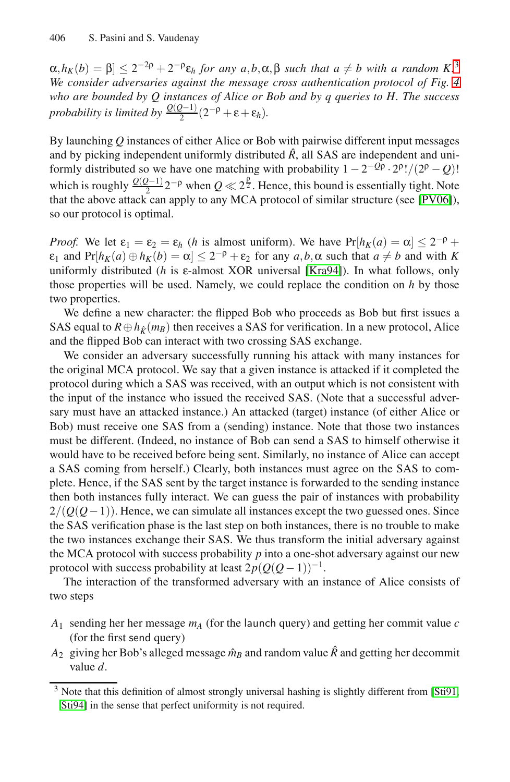$\alpha, h_K(b) = \beta \leq 2^{-2\rho} + 2^{-\rho} \varepsilon_h$  *for any a,b,* $\alpha, \beta$  *such that a*  $\neq b$  *with a random* K.<sup>[3](#page-11-0)</sup> *We consider adversaries against the message cross authentication protocol of Fig. [4](#page-10-0) who are bounded by Q instances of Alice or Bob and by q queries to H. The success probability is limited by*  $\frac{Q(Q-1)}{2}(2^{-\rho} + \varepsilon + \varepsilon_h)$ *.* 

By launching *Q* instances of either Alice or Bob with pairwise different input messages and by picking independent uniformly distributed  $\hat{R}$ , all SAS are independent and uniformly distributed so we have one matching with probability  $1 - 2^{-Q\rho} \cdot 2^{\rho}!/(2^{\rho} - Q)!$ which is roughly  $\frac{Q(Q-1)}{2}$  2<sup>−ρ</sup> when  $Q \ll 2^{\frac{p}{2}}$ . Hence, this bound is essentially tight. Note that the above attack can apply to any MCA protocol of similar structure (see [\[PV06\]](#page-14-3)), so our protocol is optimal.

*Proof.* We let  $\varepsilon_1 = \varepsilon_2 = \varepsilon_h$  (*h* is almost uniform). We have  $Pr[h_K(a) = \alpha] \leq 2^{-\rho} +$  $\epsilon_1$  and  $Pr[h_K(a) \oplus h_K(b) = \alpha] \leq 2^{-\rho} + \epsilon_2$  for any  $a, b, \alpha$  such that  $a \neq b$  and with K uniformly distributed (*h* is ε-almost XOR universal [\[Kra94\]](#page-14-12)). In what follows, only those properties will be used. Namely, we could replace the condition on *h* by those two properties.

We define a new character: the flipped Bob who proceeds as Bob but first issues a SAS equal to  $R \oplus h_k(m)$  then receives a SAS for verification. In a new protocol, Alice and the flipped Bob can interact with two crossing SAS exchange.

We consider an adversary successfully running his attack with many instances for the original MCA protocol. We say that a given instance is attacked if it completed the protocol during which a SAS was received, with an output which is not consistent with the input of the instance who issued the received SAS. (Note that a successful adversary must have an attacked instance.) An attacked (target) instance (of either Alice or Bob) must receive one SAS from a (sending) instance. Note that those two instances must be different. (Indeed, no instance of Bob can send a SAS to himself otherwise it would have to be received before being sent. Similarly, no instance of Alice can accept a SAS coming from herself.) Clearly, both instances must agree on the SAS to complete. Hence, if the SAS sent by the target instance is forwarded to the sending instance then both instances fully interact. We can guess the pair of instances with probability  $2/(Q(Q-1))$ . Hence, we can simulate all instances except the two guessed ones. Since the SAS verification phase is the last step on both instances, there is no trouble to make the two instances exchange their SAS. We thus transform the initial adversary against the MCA protocol with success probability *p* into a one-shot adversary against our new protocol with success probability at least  $2p(Q(Q-1))^{-1}$ .

The interaction of the transformed adversary with an instance of Alice consists of two steps

- $A_1$  sending her her message  $m_A$  (for the launch query) and getting her commit value  $c$ (for the first send query)
- *A*<sub>2</sub> giving her Bob's alleged message  $\hat{m}_B$  and random value  $\hat{R}$  and getting her decommit value *d*.

<span id="page-11-0"></span><sup>&</sup>lt;sup>3</sup> Note that this definition of almost strongly universal hashing is slightly different from [\[Sti91,](#page-14-10) [Sti94\]](#page-14-11) in the sense that perfect uniformity is not required.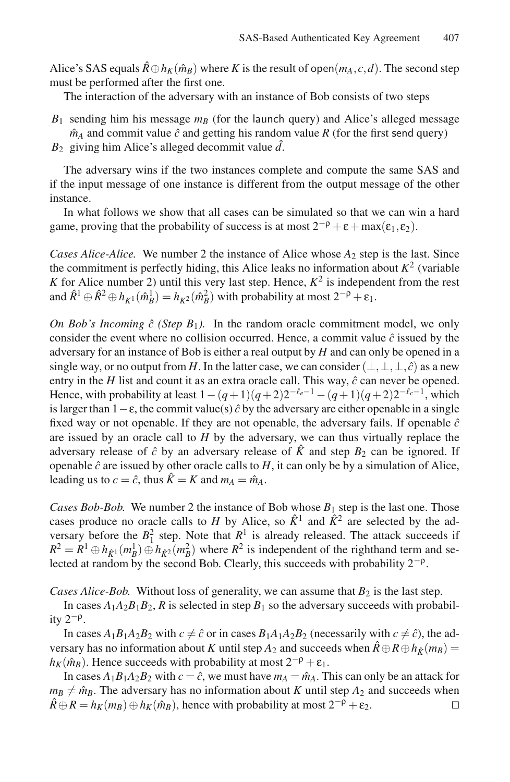Alice's SAS equals  $\hat{R} \oplus h_K(\hat{m}_B)$  where *K* is the result of open $(m_A, c, d)$ . The second step must be performed after the first one.

The interaction of the adversary with an instance of Bob consists of two steps

 $B_1$  sending him his message  $m \cdot B_1$  (for the launch query) and Alice's alleged message  $\hat{m}_A$  and commit value  $\hat{c}$  and getting his random value *R* (for the first send query)

 $B_2$  giving him Alice's alleged decommit value  $\hat{d}$ .

The adversary wins if the two instances complete and compute the same SAS and if the input message of one instance is different from the output message of the other instance.

In what follows we show that all cases can be simulated so that we can win a hard game, proving that the probability of success is at most  $2^{-\rho} + \varepsilon + \max(\varepsilon_1, \varepsilon_2)$ .

*Cases Alice-Alice.* We number 2 the instance of Alice whose *A*<sup>2</sup> step is the last. Since the commitment is perfectly hiding, this Alice leaks no information about  $K^2$  (variable *K* for Alice number 2) until this very last step. Hence,  $K^2$  is independent from the rest and  $\hat{R}^1 \oplus \hat{R}^2 \oplus h_{K^1}(\hat{m}_B^1) = h_{K^2}(\hat{m}_B^2)$  with probability at most  $2^{-\rho} + \varepsilon_1$ .

*On Bob's Incoming*  $\hat{c}$  (*Step B*<sub>1</sub>). In the random oracle commitment model, we only consider the event where no collision occurred. Hence, a commit value  $\hat{c}$  issued by the adversary for an instance of Bob is either a real output by *H* and can only be opened in a single way, or no output from *H*. In the latter case, we can consider  $(\perp, \perp, \perp, \hat{c})$  as a new entry in the *H* list and count it as an extra oracle call. This way,  $\hat{c}$  can never be opened. Hence, with probability at least  $1 - (q+1)(q+2)2^{-\ell_e-1} - (q+1)(q+2)2^{-\ell_c-1}$ , which is larger than  $1-\varepsilon$ , the commit value(s)  $\hat{c}$  by the adversary are either openable in a single fixed way or not openable. If they are not openable, the adversary fails. If openable  $\hat{c}$ are issued by an oracle call to *H* by the adversary, we can thus virtually replace the adversary release of  $\hat{c}$  by an adversary release of  $\hat{K}$  and step  $B_2$  can be ignored. If openable  $\hat{c}$  are issued by other oracle calls to  $H$ , it can only be by a simulation of Alice, leading us to  $c = \hat{c}$ , thus  $\hat{K} = K$  and  $m_A = \hat{m}_A$ .

*Cases Bob-Bob.* We number 2 the instance of Bob whose  $B_1$  step is the last one. Those cases produce no oracle calls to *H* by Alice, so  $\hat{K}^1$  and  $\hat{K}^2$  are selected by the adversary before the  $B_1^2$  step. Note that  $R_1^1$  is already released. The attack succeeds if  $R^2 = R^1 \oplus h_{\hat{K}^1}(m_B^1) \oplus h_{\hat{K}^2}(m_B^2)$  where  $R^2$  is independent of the righthand term and selected at random by the second Bob. Clearly, this succeeds with probability  $2^{-\rho}$ .

*Cases Alice-Bob.* Without loss of generality, we can assume that  $B_2$  is the last step.

In cases  $A_1A_2B_1B_2$ , *R* is selected in step  $B_1$  so the adversary succeeds with probability  $2^{-\rho}$ .

In cases  $A_1B_1A_2B_2$  with  $c \neq \hat{c}$  or in cases  $B_1A_1A_2B_2$  (necessarily with  $c \neq \hat{c}$ ), the adversary has no information about *K* until step  $A_2$  and succeeds when  $\hat{R} \oplus R \oplus h_{\hat{K}}(m_B) =$  $h_K(\hat{m}_B)$ . Hence succeeds with probability at most  $2^{-\rho} + \varepsilon_1$ .

In cases  $A_1B_1A_2B_2$  with  $c = \hat{c}$ , we must have  $m_A = \hat{m}_A$ . This can only be an attack for  $m_B \neq \hat{m}_B$ . The adversary has no information about *K* until step  $A_2$  and succeeds when  $\hat{R} \oplus R = h_K(m_B) \oplus h_K(\hat{m}_B)$ , hence with probability at most  $2^{-\rho} + \varepsilon_2$ .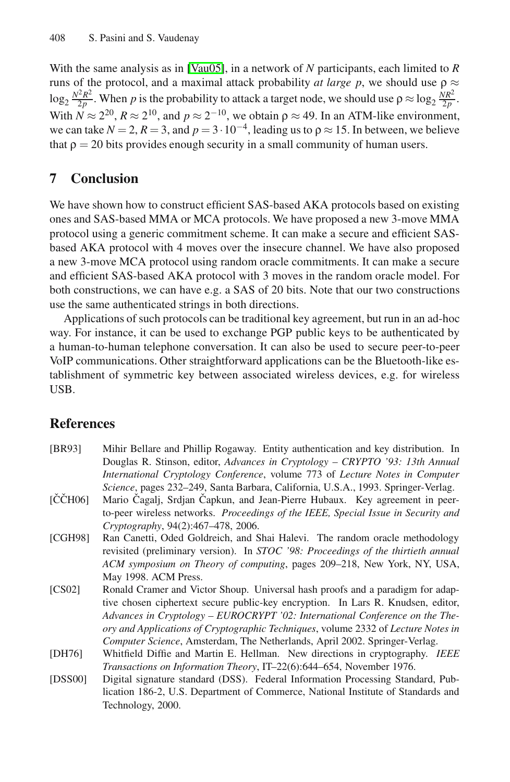With the same analysis as in [\[Vau05\]](#page-14-1), in a network of *N* participants, each limited to *R* runs of the protocol, and a maximal attack probability *at large p*, we should use  $\rho \approx$  $\log_2 \frac{N^2 R^2}{2p}$ . When *p* is the probability to attack a target node, we should use  $\rho \approx \log_2 \frac{NR^2}{2p}$ . With  $N \approx 2^{20}$ ,  $R \approx 2^{10}$ , and  $p \approx 2^{-10}$ , we obtain  $\rho \approx 49$ . In an ATM-like environment, we can take  $N = 2$ ,  $R = 3$ , and  $p = 3 \cdot 10^{-4}$ , leading us to  $\rho \approx 15$ . In between, we believe that  $\rho = 20$  bits provides enough security in a small community of human users.

# **7 Conclusion**

We have shown how to construct efficient SAS-based AKA protocols based on existing ones and SAS-based MMA or MCA protocols. We have proposed a new 3-move MMA protocol using a generic commitment scheme. It can make a secure and efficient SASbased AKA protocol with 4 moves over the insecure channel. We have also proposed a new 3-move MCA protocol using random oracle commitments. It can make a secure and efficient SAS-based AKA protocol with 3 moves in the random oracle model. For both constructions, we can have e.g. a SAS of 20 bits. Note that our two constructions use the same authenticated strings in both directions.

Applications of such protocols can be traditional key agreement, but run in an ad-hoc way. For instance, it can be used to exchange PGP public keys to be authenticated by a human-to-human telephone conversation. It can also be used to secure peer-to-peer VoIP communications. Other straightforward applications can be the Bluetooth-like establishment of symmetric key between associated wireless devices, e.g. for wireless USB.

## **References**

<span id="page-13-6"></span><span id="page-13-5"></span><span id="page-13-4"></span><span id="page-13-3"></span><span id="page-13-2"></span><span id="page-13-1"></span><span id="page-13-0"></span>

| Mihir Bellare and Phillip Rogaway. Entity authentication and key distribution. In               |  |  |  |  |
|-------------------------------------------------------------------------------------------------|--|--|--|--|
| Douglas R. Stinson, editor, Advances in Cryptology - CRYPTO '93: 13th Annual                    |  |  |  |  |
| International Cryptology Conference, volume 773 of Lecture Notes in Computer                    |  |  |  |  |
| Science, pages 232-249, Santa Barbara, California, U.S.A., 1993. Springer-Verlag.               |  |  |  |  |
| Mario Cagali, Srdjan Capkun, and Jean-Pierre Hubaux. Key agreement in peer-                     |  |  |  |  |
| to-peer wireless networks. Proceedings of the IEEE, Special Issue in Security and               |  |  |  |  |
| Cryptography, 94(2):467-478, 2006.                                                              |  |  |  |  |
| Ran Canetti, Oded Goldreich, and Shai Halevi. The random oracle methodology                     |  |  |  |  |
| revisited (preliminary version). In <i>STOC</i> '98: <i>Proceedings of the thirtieth annual</i> |  |  |  |  |
| ACM symposium on Theory of computing, pages 209-218, New York, NY, USA,                         |  |  |  |  |
| May 1998. ACM Press.                                                                            |  |  |  |  |
| Ronald Cramer and Victor Shoup. Universal hash proofs and a paradigm for adap-                  |  |  |  |  |
| tive chosen ciphertext secure public-key encryption. In Lars R. Knudsen, editor,                |  |  |  |  |
| Advances in Cryptology – EUROCRYPT '02: International Conference on the The-                    |  |  |  |  |
| ory and Applications of Cryptographic Techniques, volume 2332 of Lecture Notes in               |  |  |  |  |
| Computer Science, Amsterdam, The Netherlands, April 2002. Springer-Verlag.                      |  |  |  |  |
| Whitfield Diffie and Martin E. Hellman. New directions in cryptography. IEEE                    |  |  |  |  |
| Transactions on Information Theory, IT-22(6):644-654, November 1976.                            |  |  |  |  |
| Digital signature standard (DSS). Federal Information Processing Standard, Pub-                 |  |  |  |  |
| lication 186-2, U.S. Department of Commerce, National Institute of Standards and                |  |  |  |  |
| Technology, 2000.                                                                               |  |  |  |  |
|                                                                                                 |  |  |  |  |